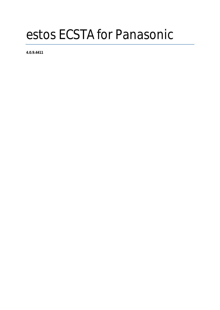# estos ECSTA for Panasonic

**4.0.9.4411**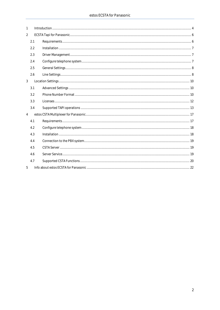| 1              |     | Introduction 44 |  |
|----------------|-----|-----------------|--|
| $\overline{2}$ |     |                 |  |
|                | 2.1 |                 |  |
|                | 2.2 |                 |  |
|                | 2.3 |                 |  |
|                | 2.4 |                 |  |
|                | 2.5 |                 |  |
|                | 2.6 |                 |  |
| $\mathfrak{Z}$ |     |                 |  |
|                | 3.1 |                 |  |
|                | 3.2 |                 |  |
|                | 3.3 |                 |  |
|                | 3.4 |                 |  |
| $\overline{4}$ |     |                 |  |
|                | 4.1 |                 |  |
|                | 4.2 |                 |  |
|                | 4.3 |                 |  |
|                | 4.4 |                 |  |
|                | 4.5 |                 |  |
|                | 4.6 |                 |  |
|                | 4.7 |                 |  |
| 5              |     |                 |  |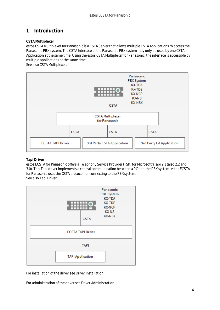# <span id="page-3-0"></span>**1 Introduction**

## **CSTA Multiplexer**

estos CSTA Multiplexer for Panasonic is a CSTA Server that allows multiple CSTA Applications to access the Panasonic PBX system. The CSTA Interface of the Panasonic PBX system may only be used by one CSTA Application at the same time. Using the estos CSTA Multiplexer for Panasonic, the interface is accessible by multiple applications at the same time.

See also CSTA Multiplexer.



## **Tapi Driver**

estos ECSTA for Panasonic offers a Telephony Service Provider (TSP) for Microsoft® Tapi 2.1 (also 2.2 and 3.0). This Tapi driver implements a central communication between a PC and the PBX system. estos ECSTA for Panasonic uses the CSTA protocol for connecting to the PBX system. See also Tapi Driver.



For installation of the driver see Driver Installation.

For administration of the driver see Driver Administration.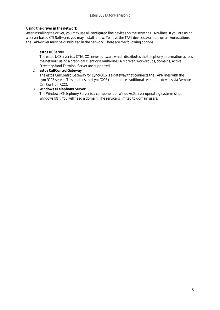**Using the driver in the network**

After installing the driver, you may use all configured line devices on the server as TAPI-lines. If you are using a server based CTI Software, you may install it now. To have the TAPI-devices available on all workstations, the TAPI-driver must be distributed in the network. There are the following options:

1. **estos UCServer**

The estos UCServer is a CTI/UCC server software which distributes the telephony information across the network using a graphical client or a multi-line TAPI driver. Workgroups, domains, Active Directory® and Terminal Server are supported.

- 2. **estos CallControlGateway** The estos CallControlGateway for Lync/OCS is a gateway that connects the TAPI-lines with the Lync/OCS server. This enables the Lync/OCS client to use traditional telephone devices via Remote Call Control (RCC).
- 3. **Windows® Telephony Server** The Windows® Telephony Server is a component of Windows® server operating systems since Windows® NT. You will need a domain. The service is limited to domain users.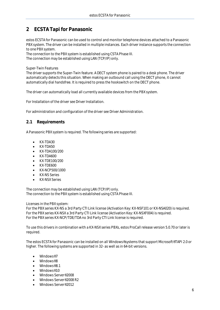# <span id="page-5-0"></span>**2 ECSTA Tapi for Panasonic**

estos ECSTA for Panasonic can be used to control and monitor telephone devices attached to a Panasonic PBX system. The driver can be installed in multiple instances. Each driver instance supports the connection to one PBX system.

The connection to the PBX system is established using CSTA Phase III. The connection may be established using LAN (TCP/IP) only.

## Super-Twin Features

The driver supports the Super-Twin feature. A DECT system phone is paired to a desk phone. The driver automatically detects this situation. When making an outbound call using the DECT phone, it cannot automatically dial handsfree. It is required to press the hookswitch on the DECT phone.

The driver can automatically load all currently available devices from the PBX system.

For Installation of the driver see Driver Installation.

For administration and configuration of the driver see Driver Administration.

## <span id="page-5-1"></span>**2.1 Requirements**

A Panasonic PBX system is required. The following series are supported:

- $\bullet$  KX-TDA30
- KX-TDA50
- KX-TDA100/200
- KX-TDA600
- KX-TDE100/200
- KX-TDE600
- KX-NCP500/1000
- KX-NS Series
- KX-NSX Series

The connection may be established using LAN (TCP/IP) only. The connection to the PBX system is established using CSTA Phase III.

Licenses in the PBX system:

For the PBX series KX-NS a 3rd Party CTI Link license (Activation Key: KX-NSF101 or KX-NSA020) is required. For the PBX series KX-NSX a 3rd Party CTI Link license (Activation Key: KX-NSXF004) is required. For the PBX series KX-NCP/TDE/TDA no 3rd Party CTI Link license is required.

To use this drivers in combination with a KX-NSX series PBXs, estos ProCall release version 5.0.70 or later is required.

The estos ECSTA for Panasonic can be installed on all Windows® systems that support Microsoft® TAPI 2.0 or higher. The following systems are supported in 32- as well as in 64-bit versions.

- Windows® 7
- Windows® 8
- Windows® 8.1
- $\bullet$  Windows<sup>®</sup> 10
- Windows Server<sup>®</sup> 2008
- Windows Server® 2008 R2
- Windows Server® 2012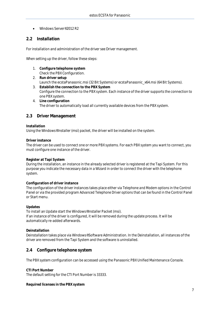Windows Server® 2012 R2

# <span id="page-6-0"></span>**2.2 Installation**

For installation and administration of the driver see Driver management.

When setting up the driver, follow these steps:

- 1. **Configure telephone system** Check the PBX Configuration.
- 2. **Run driver setup** Launch the ecstaPanasonic.msi (32 Bit Systems) or ecstaPanasonic\_x64.msi (64 Bit Systems).
- 3. **Establish the connection to the PBX System** Configure the connection to the PBX system. Each instance of the driver supports the connection to one PBX system.
- 4. **Line configuration** The driver to automatically load all currently available devices from the PBX system.

## <span id="page-6-1"></span>**2.3 Driver Management**

## **Installation**

Using the Windows® Installer (msi) packet, the driver will be installed on the system.

**Driver instance**

The driver can be used to connect one or more PBX systems. For each PBX system you want to connect, you must configure one instance of the driver.

## **Register at Tapi System**

During the installation, an instance in the already selected driver is registered at the Tapi System. For this purpose you indicate the necessary data in a Wizard in order to connect the driver with the telephone system.

## **Configuration of driver instance**

The configuration of the driver instances takes place either via *Telephone and Modem options* in the Control Panel or via the provided program *Advanced Telephone Driver options* that can be found in the Control Panel or Start menu.

## **Updates**

To install an Update start the Windows® Installer Packet (msi). If an instance of the driver is configured, it will be removed during the update process. It will be automatically re-added afterwards.

## **Deinstallation**

Deinstallation takes place via Windows® Software Administration. In the Deinstallation, all instances of the driver are removed from the Tapi System and the software is uninstalled.

## <span id="page-6-2"></span>**2.4 Configure telephone system**

The PBX system configuration can be accessed using the Panasonic PBX Unified Maintenance Console.

**CTI Port Number** The default setting for the CTI Port Number is 33333.

**Required licenses in the PBX system**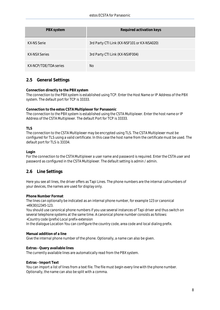| PBX system            | Required activation keys                    |
|-----------------------|---------------------------------------------|
| KX-NS Serie           | 3rd Party CTI Link (KX-NSF101 or KX-NSA020) |
| <b>KX-NSX Series</b>  | 3rd Party CTI Link (KX-NSXF004)             |
| KX-NCP/TDF/TDA series | No.                                         |

# <span id="page-7-0"></span>**2.5 General Settings**

**Connection directly to the PBX system**

The connection to the PBX system is established using TCP. Enter the Host Name or IP Address of the PBX system. The default port for TCP is 33333.

**Connection to the estos CSTA Multiplexer for Panasonic** The connection to the PBX system is established using the CSTA Multiplexer. Enter the host name or IP Address of the CSTA Multiplexer. The default Port for TCP is 33333.

**TLS**

The connection to the CSTA Multiplexer may be encrypted using TLS. The CSTA Multiplexer must be configured for TLS using a valid certificate. In this case the host name from the certificate must be used. The default port for TLS is 33334.

**Login**

For the connection to the CSTA Multiplexer a user name and password is required. Enter the CSTA user and password as configured in the CSTA Multiplexer. The default setting is admin / admin.

# <span id="page-7-1"></span>**2.6 Line Settings**

Here you see all lines, the driver offers as Tapi Lines. The phone numbers are the internal callnumbers of your devices, the names are used for display only.

**Phone Number Format**

The lines can optionally be indicated as an internal phone number, for example *123* or canonical *+49(30)12345-123*.

You should use canonical phone numbers if you use several instances of Tapi driver and thus switch on several telephone systems at the same time. A canonical phone number consists as follows: *+Country code (prefix) Local prefix-extension*

In the dialogue Location You can configure the country code, area code and local dialing prefix.

## **Manual addition of a line**

Give the internal phone number of the phone. Optionally, a name can also be given.

**Extras - Query available lines**

The currently available lines are automatically read from the PBX system.

**Extras - Import Text**

You can import a list of lines from a text file. The file must begin every line with the phone number. Optionally, the name can also be split with a comma.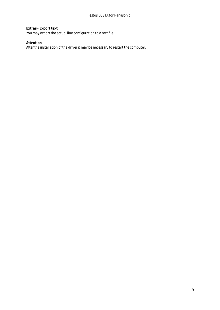**Extras - Export text** You may export the actual line configuration to a text file.

**Attention** After the installation of the driver it may be necessary to restart the computer.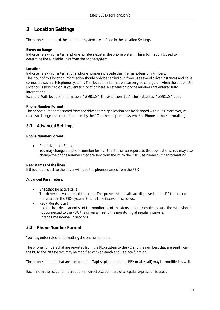# <span id="page-9-0"></span>**3 Location Settings**

The phone numbers of the telephone system are defined in the Location Settings

**Exension Range**

Indicate here which internal phone numbers exist in the phone system. This information is used to determine the available lines from the phone system.

## **Location**

Indicate here which international phone numbers precede the internal extension numbers. The input of this location information should only be carried out if you use several driver instances and have connected several telephone systems. This location information can only be configured when the option Use Location is switched on. If you enter a location here, all extension phone numbers are entered fully international.

Example: With location information '49(89)1234' the extension '100' is formatted as '49(89)1234-100'.

## **Phone Number Format**

The phone number registered from the driver at the application can be changed with rules. Moreover, you can also change phone numbers sent by the PC to the telephone system. See Phone number formatting.

# <span id="page-9-1"></span>**3.1 Advanced Settings**

**Phone Number Format:**

Phone Number Format

You may change the phone number format, that the driver reports to the applications. You may also change the phone numbers that are sent from the PC to the PBX. See Phone number formatting.

## **Read names of the lines**

If this option is active the driver will read the phones names from the PBX.

## **Advanced Parameters:**

- Snapshot for active calls The driver can validate existing calls. This prevents that calls are displayed on the PC that do no more exist in the PBX system. Enter a time interval in seconds.
- Retry MonitorStart In case the driver cannot start the monitoring of an extension for example because the extension is not connected to the PBX, the driver will retry the monitoring at regular intervals. Enter a time interval in seconds.

## <span id="page-9-2"></span>**3.2 Phone Number Format**

You may enter rules for formatting the phone numbers.

The phone numbers that are reported from the PBX system to the PC and the numbers that are send from the PC to the PBX system may be modified with a Search and Replace function.

The phone numbers that are sent from the Tapi Application to the PBX (make call) may be modified as well.

Each line in the list contains an option if direct text compare or a regular expression is used.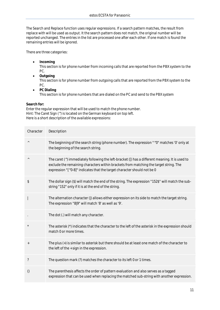The Search and Replace function uses regular expressions. If a search pattern matches, the result from replace with will be used as output. It the search pattern does not match, the original number will be reported unchanged. The entries in the list are processed one after each other. If one match is found the remaining entries will be ignored.

There are three categories:

**•** Incoming

This section is for phone number from incoming calls that are reported from the PBX system to the PC.

- **Outgoing** This section is for phone number from outgoing calls that are reported from the PBX system to the PC.
- **PC Dialing** This section is for phone numbers that are dialed on the PC and send to the PBX system

**Search for:**

Enter the regular expression that will be used to match the phone number. Hint: The Caret Sign (^) is located on the German keyboard on top left. Here is a short description of the available expressions:

| Character                | Description                                                                                                                                                                                                                                                         |
|--------------------------|---------------------------------------------------------------------------------------------------------------------------------------------------------------------------------------------------------------------------------------------------------------------|
| $\land$                  | The beginning of the search string (phone number). The expression "^0" matches '0' only at<br>the beginning of the search string.                                                                                                                                   |
| $\land$                  | The caret (^) immediately following the left-bracket ([) has a different meaning. It is used to<br>exclude the remaining characters within brackets from matching the target string. The<br>expression "[^0-8]" indicates that the target character should not be 0 |
| \$                       | The dollar sign (\$) will match the end of the string. The expression "152\$" will match the sub-<br>string "152" only if it is at the end of the string.                                                                                                           |
|                          | The alternation character ( ) allows either expression on its side to match the target string.<br>The expression "8 9" will match '8' as well as '9'.                                                                                                               |
|                          | The dot (.) will match any character.                                                                                                                                                                                                                               |
| $\star$                  | The asterisk (*) indicates that the character to the left of the asterisk in the expression should<br>match 0 or more times.                                                                                                                                        |
| $^{+}$                   | The plus (+) is similar to asterisk but there should be at least one match of the character to<br>the left of the + sign in the expression.                                                                                                                         |
| $\overline{\phantom{a}}$ | The question mark (?) matches the character to its left 0 or 1 times.                                                                                                                                                                                               |
| ()                       | The parenthesis affects the order of pattern evaluation and also serves as a tagged<br>expression that can be used when replacing the matched sub-string with another expression.                                                                                   |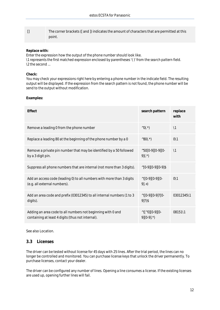| The corner brackets ([and ]) indicates the amount of characters that are permitted at this |  |
|--------------------------------------------------------------------------------------------|--|
| point.                                                                                     |  |

## **Replace with:**

Enter the expression how the output of the phone number should look like. \1 represents the first matched expression enclosed by parentheses '( )' from the *search pattern* field. \2 the second ...

#### **Check:**

You may check your expressions right here by entering a phone number in the indicate field. The resulting output will be displayed. If the expression from the search pattern is not found, the phone number will be send to the output without modification.

**Examples:**

| <b>Effect</b>                                                                                                    | search pattern                                        | replace<br>with |
|------------------------------------------------------------------------------------------------------------------|-------------------------------------------------------|-----------------|
| Remove a leading 0 from the phone number                                                                         | $^{\wedge}0($ . $^{\star})$                           | $\setminus$ 1   |
| Replace a leading 80 at the beginning of the phone number by a 0                                                 | $^{\wedge}80($ .*)                                    | $0\vee 1$       |
| Remove a private pin number that may be identified by a 50 followed<br>by a 3 digit pin.                         | $^{\wedge}50[0-9][0-9][0-$<br>$9($ .*)                | $\backslash$ 1  |
| Suppress all phone numbers that are internal (not more than 3 digits).                                           | $^{\wedge}$ [0-9][0-9][0-9]\$                         |                 |
| Add an access code (leading 0) to all numbers with more than 3 digits<br>(e.g. all external numbers).            | $^{\wedge}([0-9][0-9][0-$<br>$9.+$                    | $0\vee 1$       |
| Add an area code and prefix (03012345) to all internal numbers (1 to 3<br>digits).                               | $^{\wedge}([0-9][0-9]\hat{?}[0-$<br>$9$ $\frac{2}{3}$ | 03012345\1      |
| Adding an area code to all numbers not beginning with 0 and<br>containing at least 4 digits (thus not internal). | $^{\wedge}([^{\wedge}0][0-9][0-$<br>$9$ [0-9].*)      | 08151\1         |

See also Location.

## <span id="page-11-0"></span>**3.3 Licenses**

The driver can be tested without license for 45 days with 25 lines. After the trial period, the lines can no longer be controlled and monitored. You can purchase license keys that unlock the driver permanently. To purchase licenses, contact your dealer.

The driver can be configured any number of lines. Opening a line consumes a license. If the existing licenses are used up, opening further lines will fail.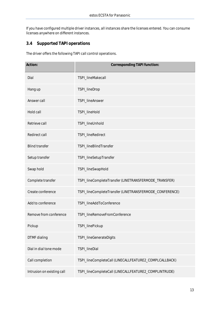If you have configured multiple driver instances, all instances share the licenses entered. You can consume licenses anywhere on different instances.

# <span id="page-12-0"></span>**3.4 Supported TAPI operations**

The driver offers the following TAPI call control operations.

| Action:                    | Corresponding TAPI function:                            |
|----------------------------|---------------------------------------------------------|
| Dial                       | TSPI_lineMakecall                                       |
| Hang up                    | TSPI_lineDrop                                           |
| Answer call                | TSPI_lineAnswer                                         |
| Hold call                  | TSPI_lineHold                                           |
| Retrieve call              | TSPI_lineUnhold                                         |
| Redirect call              | TSPI_lineRedirect                                       |
| <b>Blind transfer</b>      | TSPI_lineBlindTransfer                                  |
| Setup transfer             | TSPI_lineSetupTransfer                                  |
| Swap hold                  | TSPI_lineSwapHold                                       |
| Complete transfer          | TSPI_lineCompleteTransfer (LINETRANSFERMODE_TRANSFER)   |
| Create conference          | TSPI_lineCompleteTransfer (LINETRANSFERMODE_CONFERENCE) |
| Add to conference          | TSPI_lineAddToConference                                |
| Remove from conference     | TSPI_lineRemoveFromConference                           |
| Pickup                     | TSPI_linePickup                                         |
| DTMF dialing               | TSPI_lineGenerateDigits                                 |
| Dial in dial tone mode     | TSPI_lineDial                                           |
| Call completion            | TSPI_lineCompleteCall (LINECALLFEATURE2_COMPLCALLBACK)  |
| Intrusion on existing call | TSPI_lineCompleteCall(LINECALLFEATURE2_COMPLINTRUDE)    |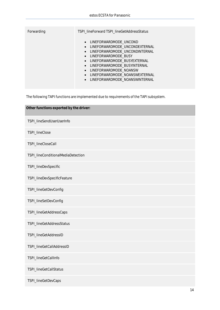| Forwarding | TSPI_lineForward TSPI_lineGetAddressStatus                                                                                                                                                                                                                                                                               |
|------------|--------------------------------------------------------------------------------------------------------------------------------------------------------------------------------------------------------------------------------------------------------------------------------------------------------------------------|
|            | • LINEFORWARDMODE UNCOND<br>• LINEFORWARDMODE UNCONDEXTERNAL<br>• LINEFORWARDMODE UNCONDINTERNAL<br>• LINEFORWARDMODE BUSY<br>LINEFORWARDMODE BUSYEXTERNAL<br>$\bullet$<br>· LINEFORWARDMODE BUSYINTERNAL<br>· LINEFORWARDMODE NOANSW<br>LINEFORWARDMODE_NOANSWEXTERNAL<br>$\bullet$<br>• LINEFORWARDMODE NOANSWINTERNAL |

The following TAPI functions are implemented due to requirements of the TAPI subsystem.

| Other functions exported by the driver: |  |
|-----------------------------------------|--|
| TSPI_lineSendUserUserInfo               |  |
| TSPI_lineClose                          |  |
| TSPI_lineCloseCall                      |  |
| TSPI_lineConditionalMediaDetection      |  |
| TSPI_lineDevSpecific                    |  |
| TSPI_lineDevSpecificFeature             |  |
| TSPI_lineGetDevConfig                   |  |
| TSPI_lineSetDevConfig                   |  |
| TSPI_lineGetAddressCaps                 |  |
| TSPI_lineGetAddressStatus               |  |
| TSPI_lineGetAddressID                   |  |
| TSPI_lineGetCallAddressID               |  |
| TSPI_lineGetCallInfo                    |  |
| TSPI_lineGetCallStatus                  |  |
| TSPI_lineGetDevCaps                     |  |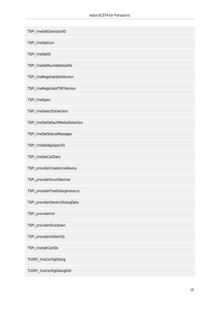| TSPI_lineGetExtensionID           |
|-----------------------------------|
| TSPI_lineGetIcon                  |
| TSPI_lineGetID                    |
| TSPI_lineGetNumAddressIDs         |
| TSPI_lineNegotiateExtVersion      |
| TSPI_lineNegotiateTSPIVersion     |
| TSPI_lineOpen                     |
| TSPI_lineSelectExtVersion         |
| TSPI_lineSetDefaultMediaDetection |
| TSPI_lineSetStatusMessages        |
| TSPI_lineSetAppSpecific           |
| TSPI_lineSetCallData              |
| TSPI_providerCreateLineDevice     |
| TSPI_providerEnumDevices          |
| TSPI_providerFreeDialogInstance   |
| TSPI_providerGenericDialogData    |
| TSPI_providerInit                 |
| TSPI_providerShutdown             |
| TSPI_providerUIIdentify           |
| TSPI_lineGetCallIDs               |
| TUISPI_lineConfigDialog           |
| TUISPI_lineConfigDialogEdit       |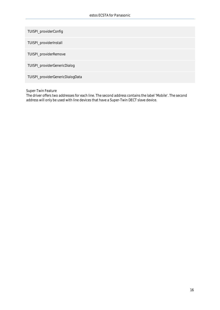TUISPI\_providerConfig

TUISPI\_providerInstall

TUISPI\_providerRemove

TUISPI\_providerGenericDialog

TUISPI\_providerGenericDialogData

Super-Twin Feature

The driver offers two addresses for each line. The second address contains the label 'Mobile'. The second address will only be used with line devices that have a Super-Twin DECT slave device.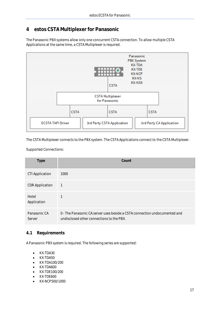# <span id="page-16-0"></span>**4 estos CSTA Multiplexer for Panasonic**

The Panasonic PBX systems allow only one concurrent CSTA connection. To allow multiple CSTA Applications at the same time, a CSTA Multiplexer is required.



The CSTA Multiplexer connects to the PBX system. The CSTA Applications connect to the CSTA Multiplexer.

Supported Connections:

| Type                   | Count                                                                                                                   |
|------------------------|-------------------------------------------------------------------------------------------------------------------------|
| <b>CTI Application</b> | 1000                                                                                                                    |
| <b>CDR Application</b> | 1                                                                                                                       |
| Hotel<br>Application   |                                                                                                                         |
| Panasonic CA<br>Server | 0 - The Panasonic CA server uses beside a CSTA connection undocumented and<br>undisclosed other connections to the PBX. |

## <span id="page-16-1"></span>**4.1 Requirements**

A Panasonic PBX system is required. The following series are supported:

- KX-TDA30
- KX-TDA50
- KX-TDA100/200
- KX-TDA600
- KX-TDE100/200
- KX-TDE600
- KX-NCP500/1000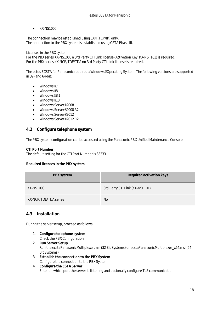KX-NS1000

The connection may be established using LAN (TCP/IP) only. The connection to the PBX system is established using CSTA Phase III.

Licenses in the PBX system:

For the PBX series KX-NS1000 a 3rd Party CTI Link license (Activetion Key: KX-NSF101) is required. For the PBX series KX-NCP/TDE/TDA no 3rd Party CTI Link license is required.

The estos ECSTA for Panasonic requires a Windows® Operating System. The following versions are supported in 32- and 64-bit:

- $\bullet$  Windows<sup>®</sup> 7
- Windows® 8
- $\bullet$  Windows<sup>®</sup> 8.1
- $\bullet$  Windows<sup>®</sup> 10
- Windows Server<sup>®</sup> 2008
- Windows Server<sup>®</sup> 2008 R2
- Windows Server<sup>®</sup> 2012
- Windows Server® 2012 R2

## <span id="page-17-0"></span>**4.2 Configure telephone system**

The PBX system configuration can be accessed using the Panasonic PBX Unified Maintenance Console.

**CTI Port Number**

The default setting for the CTI Port Number is 33333.

**Required licenses in the PBX system**

| PBX system            | Required activation keys       |
|-----------------------|--------------------------------|
| KX-NS1000             | 3rd Party CTI Link (KX-NSF101) |
| KX-NCP/TDE/TDA series | No.                            |

## <span id="page-17-1"></span>**4.3 Installation**

During the server setup, proceed as follows:

- 1. **Configure telephone system** Check the PBX Configuration.
- 2. **Run Server Setup** Run the ecstaPanasonicMultiplexer.msi (32 Bit Systems) or ecstaPanasonicMultiplexer\_x64.msi (64 Bit Systems).
- 3. **Establish the connection to the PBX System** Configure the connection to the PBX System.
- 4. **Configure the CSTA Server** Enter on which port the server is listening and optionally configure TLS communication.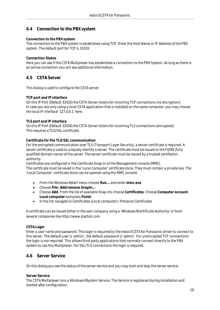# <span id="page-18-0"></span>**4.4 Connection to the PBX system**

## **Connection to the PBX system**

The connection to the PBX system is established using TCP. Enter the Host Name or IP Address of the PBX system. The default port for TCP is 33333.

## **Connection Status**

Here you can see if the CSTA Multiplexer has established a connection to the PBX System. As long as there is an active connection you will see additional information.

## <span id="page-18-1"></span>**4.5 CSTA Server**

This dialog is used to configure the CSTA server.

## **TCP port and IP interface**

On this IP Port (Default 33333) the CSTA Server listens for incoming TCP connections (no encryption). In case you are only using a local CSTA application that is installed on the same computer, you may choose the local IP interface '127.0.0.1' here.

## **TLS port and IP interface**

On this IP Port (Default 33334) the CSTA Server listens for incoming TLS connections (encrypted). This requires a TLS/SSL certificate.

## **Certificate for the TLS/SSL communication**

For the encrypted communication over TLS (Transport Layer Security), a server certificate is required. A server certificate is used to uniquely identify a server. The certificate must be issued to the FQDN (fully qualified domain name) of the server. The server certificate must be issued by a trusted certifiation authority.

Certificates are configured in the Certificate Snap-In of the Management console (MMC).

The certificate must be saved in the 'Local Computer' certificate store. They must contain a private key. The 'Local Computer' certificate store can be opened using the MMC console.

- From the Windows® start menu choose **Run...** and enter **mmc.exe**
- Choose **File** | **Add/remove SnapIn...**
- Choose **Add**. From the list of available Snap-Ins choose **Certificates**. Choose **Computer account**, **Local computer** and press **Finish**
- In the list navigate to Certificates (Local computer) / Personal Certificates

A certificate can be issued either in the own company using a 'Windows® Certificate Authority' or from several companies like http://www.startssl.com.

## **CSTA Login**

Enter a user name and password. This login is required by the estos ECSTA for Panasonic driver to connect to this server. The default user is 'admin', the default password is 'admin'. For unencrypted TCP connections the login is not required. This allows third party applications that normally connect directly to the PBX system to use this Multiplexer. For SSL/TLS connections the login is required.

# <span id="page-18-2"></span>**4.6 Server Service**

On this dialog you see the status of the server service and you may start and stop the server service.

## **Server Service**

The CSTA Multiplexer runs a Windows® System Service. The Service is registered during installation and started after configuration.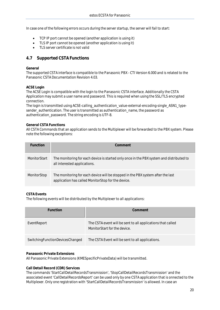In case one of the following errors occurs during the server startup, the server will fail to start:

- TCP IP port cannot be opened (another application is using it)
- TLS IP port cannot be opened (another application is using it)
- TLS server certificate is not valid

# <span id="page-19-0"></span>**4.7 Supported CSTA Functions**

## **General**

The supported CSTA interface is compatible to the Panasonic PBX - CTI Version 6.000 and is related to the Panasonic CSTA Documentation Revision 4.03.

## **ACSE Login**

The ACSE Login is compatible with the login to the Panasonic CSTA interface. Additionally the CSTA Application may submit a user name and password. This is required when using the SSL/TLS encrypted connection.

The login is transmitted using ACSE-calling\_authentication\_value-external-encoding-single\_ASN1\_typesender\_authentication. The user is transmitted as authentication\_name, the password as authentication\_password. The string encoding is UTF-8.

## **General CSTA Functions**

All CSTA Commands that an application sends to the Multiplexer will be forwarded to the PBX system. Please note the following exceptions:

| Function            | Comment                                                                                                                               |
|---------------------|---------------------------------------------------------------------------------------------------------------------------------------|
| <b>MonitorStart</b> | The monitoring for each device is started only once in the PBX system and distributed to<br>all interested applications.              |
| MonitorStop         | The monitoring for each device will be stopped in the PBX system after the last<br>application has called MonitorStop for the device. |

## **CSTA Events**

The following events will be distributed by the Multiplexer to all applications:

| Function                        | Comment                                                                                     |
|---------------------------------|---------------------------------------------------------------------------------------------|
| EventReport                     | The CSTA event will be sent to all applications that called<br>MonitorStart for the device. |
| SwitchingFunctionDevicesChanged | The CSTA Event will be sent to all applications.                                            |

## **Panasonic Private Extensions**

All Panasonic Private Extensions (KMESpecificPrivateData) will be transmitted.

**Call Detail Record (CDR) Services**

The commands 'StartCallDetailRecordsTransmission', 'StopCallDetailRecordsTransmission' and the associated event 'CallDetailRecordsReport' can be used only by one CSTA application that is onnected to the Multiplexer. Only one registration with 'StartCallDetailRecordsTransmission' is allowed. In case an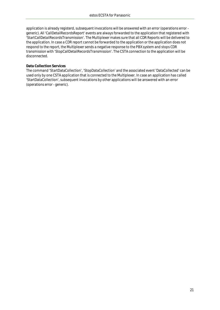application is already registerd, subsequent invocations will be answered with an error (operations error generic). All 'CallDetailRecordsReport' events are always forwarded to the application that registered with 'StartCallDetailRecordsTransmission'. The Multiplexer makes sure that all CDR Reports will be delivered to the application. In case a CDR report cannot be forwarded to the application or the application does not respond to the report, the Multiplexer sends a negative response to the PBX system and stops CDR transmission with 'StopCallDetailRecordsTransmission'. The CSTA connection to the application will be disconnected.

## **Data Collection Services**

The command 'StartDataCollection', 'StopDataCollection' and the associated event 'DataCollected' can be used only by one CSTA application that is connected to the Multiplexer. In case an application has called 'StartDataCollection', subsequent invocations by other applications will be answered with an error (operations error - generic).